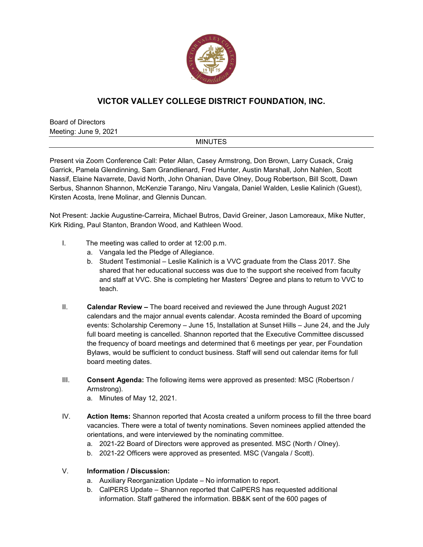

## **VICTOR VALLEY COLLEGE DISTRICT FOUNDATION, INC.**

Board of Directors Meeting: June 9, 2021

## MINUTES

Present via Zoom Conference Call: Peter Allan, Casey Armstrong, Don Brown, Larry Cusack, Craig Garrick, Pamela Glendinning, Sam Grandlienard, Fred Hunter, Austin Marshall, John Nahlen, Scott Nassif, Elaine Navarrete, David North, John Ohanian, Dave Olney, Doug Robertson, Bill Scott, Dawn Serbus, Shannon Shannon, McKenzie Tarango, Niru Vangala, Daniel Walden, Leslie Kalinich (Guest), Kirsten Acosta, Irene Molinar, and Glennis Duncan.

Not Present: Jackie Augustine-Carreira, Michael Butros, David Greiner, Jason Lamoreaux, Mike Nutter, Kirk Riding, Paul Stanton, Brandon Wood, and Kathleen Wood.

- I. The meeting was called to order at 12:00 p.m.
	- a. Vangala led the Pledge of Allegiance.
	- b. Student Testimonial Leslie Kalinich is a VVC graduate from the Class 2017. She shared that her educational success was due to the support she received from faculty and staff at VVC. She is completing her Masters' Degree and plans to return to VVC to teach.
- II. **Calendar Review –** The board received and reviewed the June through August 2021 calendars and the major annual events calendar. Acosta reminded the Board of upcoming events: Scholarship Ceremony – June 15, Installation at Sunset Hills – June 24, and the July full board meeting is cancelled. Shannon reported that the Executive Committee discussed the frequency of board meetings and determined that 6 meetings per year, per Foundation Bylaws, would be sufficient to conduct business. Staff will send out calendar items for full board meeting dates.
- III. **Consent Agenda:** The following items were approved as presented: MSC (Robertson / Armstrong).
	- a. Minutes of May 12, 2021.
- IV. **Action Items:** Shannon reported that Acosta created a uniform process to fill the three board vacancies. There were a total of twenty nominations. Seven nominees applied attended the orientations, and were interviewed by the nominating committee.
	- a. 2021-22 Board of Directors were approved as presented. MSC (North / Olney).
	- b. 2021-22 Officers were approved as presented. MSC (Vangala / Scott).
- V. **Information / Discussion:**
	- a. Auxiliary Reorganization Update No information to report.
	- b. CalPERS Update Shannon reported that CalPERS has requested additional information. Staff gathered the information. BB&K sent of the 600 pages of